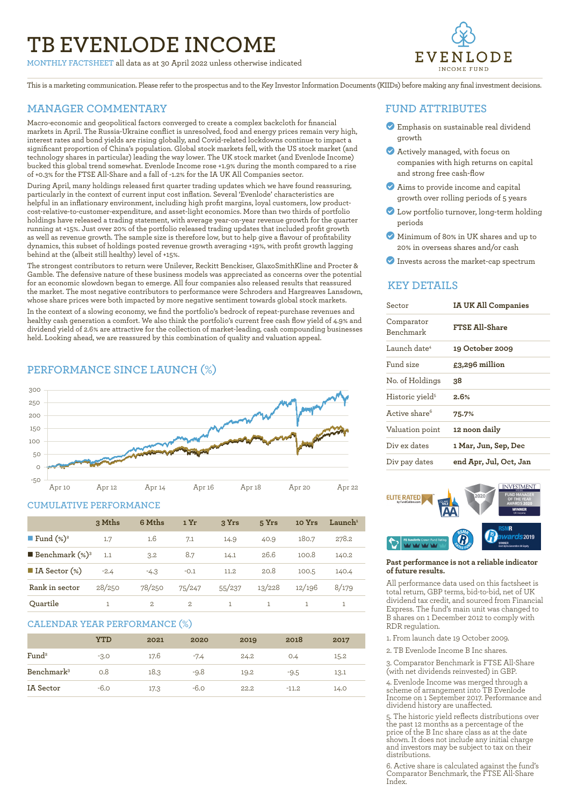# **TB EVENLODE INCOME**

**MONTHLY FACTSHEET** all data as at 30 April 2022 unless otherwise indicated



This is a marketing communication. Please refer to the prospectus and to the Key Investor Information Documents (KIIDs) before making any final investment decisions.

### **MANAGER COMMENTARY**

Macro-economic and geopolitical factors converged to create a complex backcloth for financial markets in April. The Russia-Ukraine conflict is unresolved, food and energy prices remain very high, interest rates and bond yields are rising globally, and Covid-related lockdowns continue to impact a significant proportion of China's population. Global stock markets fell, with the US stock market (and technology shares in particular) leading the way lower. The UK stock market (and Evenlode Income) bucked this global trend somewhat. Evenlode Income rose +1.9% during the month compared to a rise of +0.3% for the FTSE All-Share and a fall of -1.2% for the IA UK All Companies sector.

During April, many holdings released first quarter trading updates which we have found reassuring, particularly in the context of current input cost inflation. Several 'Evenlode' characteristics are helpful in an inflationary environment, including high profit margins, loyal customers, low productcost-relative-to-customer-expenditure, and asset-light economics. More than two thirds of portfolio holdings have released a trading statement, with average year-on-year revenue growth for the quarter running at +15%. Just over 20% of the portfolio released trading updates that included profit growth as well as revenue growth. The sample size is therefore low, but to help give a flavour of profitability dynamics, this subset of holdings posted revenue growth averaging +19%, with profit growth lagging behind at the (albeit still healthy) level of +15%.

The strongest contributors to return were Unilever, Reckitt Benckiser, GlaxoSmithKline and Procter & Gamble. The defensive nature of these business models was appreciated as concerns over the potential for an economic slowdown began to emerge. All four companies also released results that reassured the market. The most negative contributors to performance were Schroders and Hargreaves Lansdown, whose share prices were both impacted by more negative sentiment towards global stock markets.

In the context of a slowing economy, we find the portfolio's bedrock of repeat-purchase revenues and healthy cash generation a comfort. We also think the portfolio's current free cash flow yield of 4.9% and dividend yield of 2.6% are attractive for the collection of market-leading, cash compounding businesses held. Looking ahead, we are reassured by this combination of quality and valuation appeal.

# **PERFORMANCE SINCE LAUNCH (%)**



#### **CUMULATIVE PERFORMANCE**

|                                 | 3 Mths | 6 Mths        | 1 Yr   | 3 Yrs  | 5 Yrs  | 10 Yrs | $L$ aunch <sup>1</sup> |
|---------------------------------|--------|---------------|--------|--------|--------|--------|------------------------|
| ■ Fund $(\%)^2$                 | 1.7    | 1.6           | 7.1    | 14.9   | 40.9   | 180.7  | 278.2                  |
| <b>Benchmark</b> $(\%)^3$       | 1.1    | 3.2           | 8.7    | 14.1   | 26.6   | 100.8  | 140.2                  |
| $\blacksquare$ IA Sector $(\%)$ | $-2.4$ | $-4.3$        | $-0.1$ | 11.2   | 20.8   | 100.5  | 140.4                  |
| Rank in sector                  | 28/250 | 78/250        | 75/247 | 55/237 | 13/228 | 12/196 | 8/179                  |
| Quartile                        |        | $\mathcal{L}$ | 2      |        |        |        |                        |

#### **CALENDAR YEAR PERFORMANCE (%)**

|                        | YTD    | 2021 | 2020   | 2019 | 2018    | 2017 |
|------------------------|--------|------|--------|------|---------|------|
| Fund <sup>2</sup>      | $-3.0$ | 17.6 | $-7.4$ | 24.2 | 0.4     | 15.2 |
| Benchmark <sup>3</sup> | O.8    | 18.3 | $-9.8$ | 19.2 | $-9.5$  | 13.1 |
| IA Sector              | $-6.0$ | 17.3 | $-6.0$ | 22.2 | $-11.2$ | 14.0 |

#### **FUND ATTRIBUTES**

- ? Emphasis on sustainable real dividend growth
- ? Actively managed, with focus on companies with high returns on capital and strong free cash-flow
- ? Aims to provide income and capital growth over rolling periods of 5 years
- ? Low portfolio turnover, long-term holding periods
- ? Minimum of 80% in UK shares and up to 20% in overseas shares and/or cash
- ? Invests across the market-cap spectrum

## **KEY DETAILS**

| Sector                         | <b>IA UK All Companies</b> |  |  |
|--------------------------------|----------------------------|--|--|
| Comparator<br><b>Benchmark</b> | <b>FTSE All-Share</b>      |  |  |
| Launch date <sup>4</sup>       | 19 October 2009            |  |  |
| Fund size                      | £3,296 million             |  |  |
| No. of Holdings                | 38.                        |  |  |
| Historic yield <sup>5</sup>    | 2.6%                       |  |  |
| Active share <sup>6</sup>      | 75.7%                      |  |  |
| Valuation point                | 12 noon daily              |  |  |
| Div ex dates                   | 1 Mar, Jun, Sep, Dec       |  |  |
| Div pay dates                  | end Apr, Jul, Oct, Jan     |  |  |



#### **Past performance is not a reliable indicator of future results.**

All performance data used on this factsheet is total return, GBP terms, bid-to-bid, net of UK dividend tax credit, and sourced from Financial Express. The fund's main unit was changed to B shares on 1 December 2012 to comply with RDR regulation.

1. From launch date 19 October 2009.

2. TB Evenlode Income B Inc shares.

3. Comparator Benchmark is FTSE All-Share (with net dividends reinvested) in GBP.

4. Evenlode Income was merged through a scheme of arrangement into TB Evenlode Income on 1 September 2017. Performance and dividend history are unaffected.

5. The historic yield reflects distributions over the past 12 months as a percentage of the price of the B Inc share class as at the date shown. It does not include any initial charge and investors may be subject to tax on their distributions.

6. Active share is calculated against the fund's Comparator Benchmark, the FTSE All-Share **Index**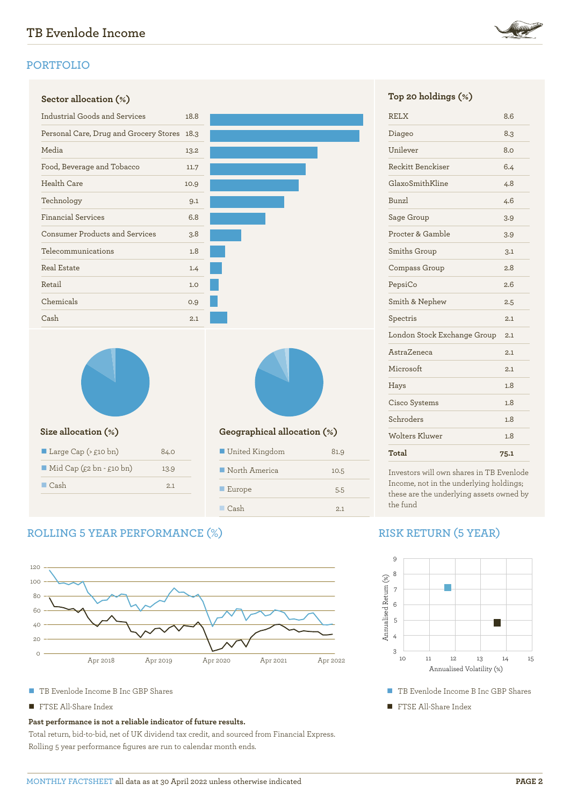



| Geographical allocation (%)  |      |  |  |
|------------------------------|------|--|--|
| United Kingdom               | 81.9 |  |  |
| $\blacksquare$ North America | 10.5 |  |  |
| $\blacksquare$ Europe        | 5.5  |  |  |
| $\Box$ Cash                  | 2.1  |  |  |

# **ROLLING 5 YEAR PERFORMANCE (%)**

n Cash 2.1



- TB Evenlode Income B Inc GBP Shares
- **n** FTSE All-Share Index

#### **Past performance is not a reliable indicator of future results.**

Total return, bid-to-bid, net of UK dividend tax credit, and sourced from Financial Express. Rolling 5 year performance figures are run to calendar month ends.

|  |  |  | Top 20 holdings (%) |  |  |
|--|--|--|---------------------|--|--|
|--|--|--|---------------------|--|--|

| Total                       | 75.1 |
|-----------------------------|------|
| Wolters Kluwer              | 1.8  |
| Schroders                   | 1.8  |
| Cisco Systems               | 1.8  |
| Hays                        | 1.8  |
| Microsoft                   | 2.1  |
| AstraZeneca                 | 2.1  |
| London Stock Exchange Group | 2.1  |
| Spectris                    | 2.1  |
| Smith & Nephew              | 2.5  |
| PepsiCo                     | 2.6  |
| Compass Group               | 2.8  |
| Smiths Group                | 3.1  |
| Procter & Gamble            | 3.9  |
| Sage Group                  | 3.9  |
| Bunzl                       | 4.6  |
| GlaxoSmithKline             | 4.8  |
| Reckitt Benckiser           | 6.4  |
| Unilever                    | 8.0  |
| Diageo                      | 8.3  |
| <b>RELX</b>                 | 8.6  |

Investors will own shares in TB Evenlode Income, not in the underlying holdings; these are the underlying assets owned by the fund

# **RISK RETURN (5 YEAR)**



- TB Evenlode Income B Inc GBP Shares
- **FTSE All-Share Index**

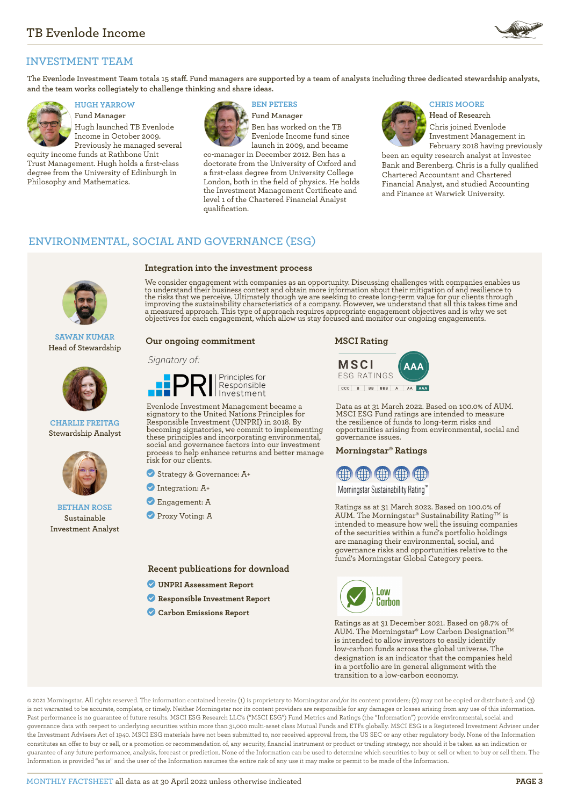

# **INVESTMENT TEAM**

**The Evenlode Investment Team totals 15 staff. Fund managers are supported by a team of analysts including three dedicated stewardship analysts, and the team works collegiately to challenge thinking and share ideas.**



**Fund Manager** Hugh launched TB Evenlode Income in October 2009. Previously he managed several

equity income funds at Rathbone Unit Trust Management. Hugh holds a first-class degree from the University of Edinburgh in Philosophy and Mathematics.



**Integration into the investment process**

**Fund Manager** Ben has worked on the TB Evenlode Income fund since launch in 2009, and became

co-manager in December 2012. Ben has a doctorate from the University of Oxford and a first-class degree from University College London, both in the field of physics. He holds the Investment Management Certificate and level 1 of the Chartered Financial Analyst qualification.

# **HUGH YARROW BEN PETERS CHRIS MOORE**



**Head of Research** Chris joined Evenlode Investment Management in

February 2018 having previously been an equity research analyst at Investec Bank and Berenberg. Chris is a fully qualified Chartered Accountant and Chartered Financial Analyst, and studied Accounting and Finance at Warwick University.

# **ENVIRONMENTAL, SOCIAL AND GOVERNANCE (ESG)**



**SAWAN KUMAR Head of Stewardship**



**CHARLIE FREITAG Stewardship Analyst**



#### **BETHAN ROSE Sustainable Investment Analyst**

We consider engagement with companies as an opportunity. Discussing challenges with companies enables us to understand their business context and obtain more information about their mitigation of and resilience to<br>the risks that we perceive. Ultimately though we are seeking to create long-term value for our clients through<br>im

#### **Our ongoing commitment**

#### Signatory of:



Evenlode Investment Management became a signatory to the United Nations Principles for Responsible Investment (UNPRI) in 2018. By becoming signatories, we commit to implementing these principles and incorporating environmental, social and governance factors into our investment process to help enhance returns and better manage risk for our clients.

? Strategy & Governance: A+

- ? Integration: A+
- ? Engagement: A
- **Proxy Voting: A**

**Recent publications for download**

- ? **[UNPRI Assessment Report](https://evenlodeinvestment.com/resources/stewardship-assets/2020-Assessment-Report.pdf)**
- ? **[Responsible Investment Report](https://evenlodeinvestment.com/resources/stewardship-assets/Evenlode-Investment-Annual-Responsible-Investment-Report-2021.pdf)**
- ? **[Carbon Emissions Report](https://evenlodeinvestment.com/resources/stewardship-assets/Evenlode-Portfolio-Carbon-Emissions-Report-2021.pdf)**





Data as at 31 March 2022. Based on 100.0% of AUM. MSCI ESG Fund ratings are intended to measure the resilience of funds to long-term risks and opportunities arising from environmental, social and governance issues.

#### **Morningstar® Ratings**



Morningstar Sustainability Rating™

Ratings as at 31 March 2022. Based on 100.0% of AUM. The Morningstar® Sustainability Rating<sup>TM</sup> is intended to measure how well the issuing companies of the securities within a fund's portfolio holdings are managing their environmental, social, and governance risks and opportunities relative to the fund's Morningstar Global Category peers.



Ratings as at 31 December 2021. Based on 98.7% of AUM. The Morningstar® Low Carbon Designation™ is intended to allow investors to easily identify low-carbon funds across the global universe. The designation is an indicator that the companies held in a portfolio are in general alignment with the transition to a low-carbon economy.

© 2021 Morningstar. All rights reserved. The information contained herein: (1) is proprietary to Morningstar and/or its content providers; (2) may not be copied or distributed; and (3) is not warranted to be accurate, complete, or timely. Neither Morningstar nor its content providers are responsible for any damages or losses arising from any use of this information. Past performance is no guarantee of future results. MSCI ESG Research LLC's ("MSCI ESG") Fund Metrics and Ratings (the "Information") provide environmental, social and governance data with respect to underlying securities within more than 31,000 multi-asset class Mutual Funds and ETFs globally. MSCI ESG is a Registered Investment Adviser under the Investment Advisers Act of 1940. MSCI ESG materials have not been submitted to, nor received approval from, the US SEC or any other regulatory body. None of the Information constitutes an offer to buy or sell, or a promotion or recommendation of, any security, financial instrument or product or trading strategy, nor should it be taken as an indication or guarantee of any future performance, analysis, forecast or prediction. None of the Information can be used to determine which securities to buy or sell or when to buy or sell them. The Information is provided "as is" and the user of the Information assumes the entire risk of any use it may make or permit to be made of the Information.